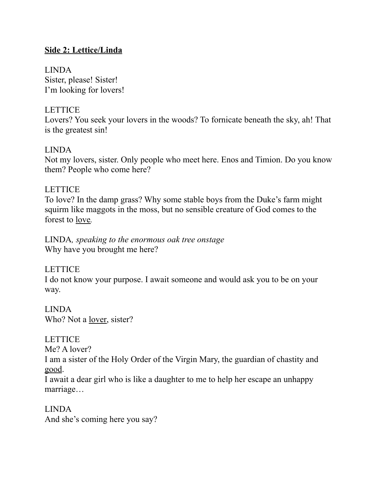# **Side 2: Lettice/Linda**

LINDA Sister, please! Sister! I'm looking for lovers!

## LETTICE

Lovers? You seek your lovers in the woods? To fornicate beneath the sky, ah! That is the greatest sin!

#### LINDA

Not my lovers, sister. Only people who meet here. Enos and Timion. Do you know them? People who come here?

## **LETTICE**

To love? In the damp grass? Why some stable boys from the Duke's farm might squirm like maggots in the moss, but no sensible creature of God comes to the forest to love*.*

LINDA*, speaking to the enormous oak tree onstage* Why have you brought me here?

#### LETTICE

I do not know your purpose. I await someone and would ask you to be on your way.

LINDA Who? Not a lover, sister?

LETTICE Me? A lover?

I am a sister of the Holy Order of the Virgin Mary, the guardian of chastity and good.

I await a dear girl who is like a daughter to me to help her escape an unhappy marriage…

LINDA And she's coming here you say?